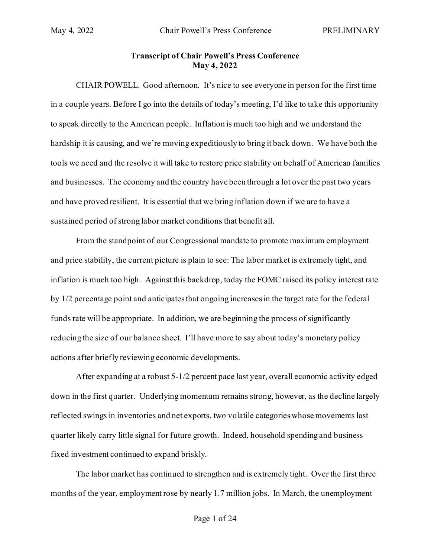## **Transcript of Chair Powell's Press Conference May 4, 2022**

CHAIR POWELL. Good afternoon. It's nice to see everyone in person for the first time in a couple years. Before I go into the details of today's meeting, I'd like to take this opportunity to speak directly to the American people. Inflation is much too high and we understand the hardship it is causing, and we're moving expeditiously to bring it back down. We have both the tools we need and the resolve it will take to restore price stability on behalf of American families and businesses. The economy and the country have been through a lot over the past two years and have proved resilient. It is essential that we bring inflation down if we are to have a sustained period of strong labor market conditions that benefit all.

From the standpoint of our Congressional mandate to promote maximum employment and price stability, the current picture is plain to see: The labor market is extremely tight, and inflation is much too high. Against this backdrop, today the FOMC raised its policy interest rate by 1/2 percentage point and anticipates that ongoing increases in the target rate for the federal funds rate will be appropriate. In addition, we are beginning the process of significantly reducing the size of our balance sheet. I'll have more to say about today's monetary policy actions after briefly reviewing economic developments.

After expanding at a robust 5-1/2 percent pace last year, overall economic activity edged down in the first quarter. Underlying momentum remains strong, however, as the decline largely reflected swings in inventories and net exports, two volatile categories whose movements last quarter likely carry little signal for future growth. Indeed, household spending and business fixed investment continued to expand briskly.

The labor market has continued to strengthen and is extremely tight. Over the first three months of the year, employment rose by nearly 1.7 million jobs. In March, the unemployment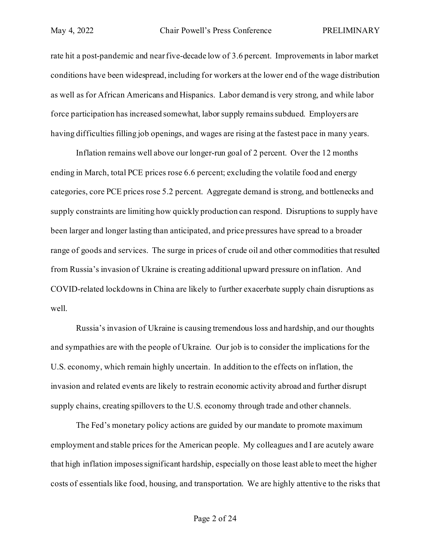rate hit a post-pandemic and near five-decade low of 3.6 percent. Improvements in labor market conditions have been widespread, including for workers at the lower end of the wage distribution as well as for African Americans and Hispanics. Labor demand is very strong, and while labor force participation has increased somewhat, labor supply remains subdued. Employers are having difficulties filling job openings, and wages are rising at the fastest pace in many years.

Inflation remains well above our longer-run goal of 2 percent. Over the 12 months ending in March, total PCE prices rose 6.6 percent; excluding the volatile food and energy categories, core PCE prices rose 5.2 percent. Aggregate demand is strong, and bottlenecks and supply constraints are limiting how quickly production can respond. Disruptions to supply have been larger and longer lasting than anticipated, and price pressures have spread to a broader range of goods and services. The surge in prices of crude oil and other commodities that resulted from Russia's invasion of Ukraine is creating additional upward pressure on inflation. And COVID-related lockdowns in China are likely to further exacerbate supply chain disruptions as well.

Russia's invasion of Ukraine is causing tremendous loss and hardship, and our thoughts and sympathies are with the people of Ukraine. Our job is to consider the implications for the U.S. economy, which remain highly uncertain. In addition to the effects on inflation, the invasion and related events are likely to restrain economic activity abroad and further disrupt supply chains, creating spillovers to the U.S. economy through trade and other channels.

The Fed's monetary policy actions are guided by our mandate to promote maximum employment and stable prices for the American people. My colleagues and I are acutely aware that high inflation imposes significant hardship, especially on those least able to meet the higher costs of essentials like food, housing, and transportation. We are highly attentive to the risks that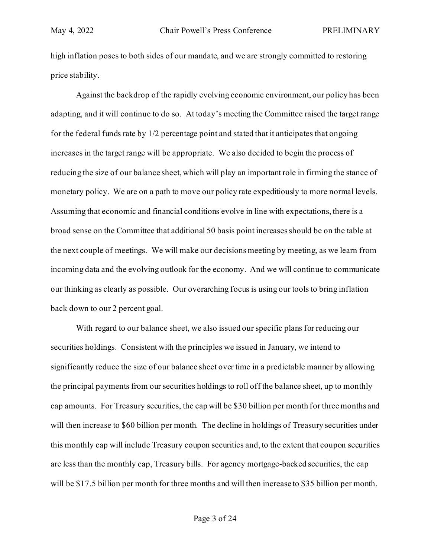high inflation poses to both sides of our mandate, and we are strongly committed to restoring price stability.

Against the backdrop of the rapidly evolving economic environment, our policy has been adapting, and it will continue to do so. At today's meeting the Committee raised the target range for the federal funds rate by 1/2 percentage point and stated that it anticipates that ongoing increases in the target range will be appropriate. We also decided to begin the process of reducing the size of our balance sheet, which will play an important role in firming the stance of monetary policy. We are on a path to move our policy rate expeditiously to more normal levels. Assuming that economic and financial conditions evolve in line with expectations, there is a broad sense on the Committee that additional 50 basis point increases should be on the table at the next couple of meetings. We will make our decisions meeting by meeting, as we learn from incoming data and the evolving outlook for the economy. And we will continue to communicate our thinking as clearly as possible. Our overarching focus is using our tools to bring inflation back down to our 2 percent goal.

With regard to our balance sheet, we also issued our specific plans for reducing our securities holdings. Consistent with the principles we issued in January, we intend to significantly reduce the size of our balance sheet over time in a predictable manner by allowing the principal payments from our securities holdings to roll off the balance sheet, up to monthly cap amounts. For Treasury securities, the cap will be \$30 billion per month for three months and will then increase to \$60 billion per month. The decline in holdings of Treasury securities under this monthly cap will include Treasury coupon securities and, to the extent that coupon securities are less than the monthly cap, Treasury bills. For agency mortgage-backed securities, the cap will be \$17.5 billion per month for three months and will then increase to \$35 billion per month.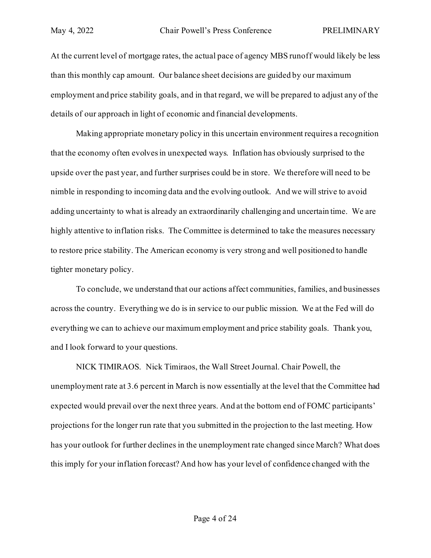At the current level of mortgage rates, the actual pace of agency MBS runoff would likely be less than this monthly cap amount. Our balance sheet decisions are guided by our maximum employment and price stability goals, and in that regard, we will be prepared to adjust any of the details of our approach in light of economic and financial developments.

Making appropriate monetary policy in this uncertain environment requires a recognition that the economy often evolves in unexpected ways. Inflation has obviously surprised to the upside over the past year, and further surprises could be in store. We therefore will need to be nimble in responding to incoming data and the evolving outlook. And we will strive to avoid adding uncertainty to what is already an extraordinarily challenging and uncertain time. We are highly attentive to inflation risks. The Committee is determined to take the measures necessary to restore price stability. The American economy is very strong and well positioned to handle tighter monetary policy.

To conclude, we understand that our actions affect communities, families, and businesses across the country. Everything we do is in service to our public mission. We at the Fed will do everything we can to achieve our maximum employment and price stability goals. Thank you, and I look forward to your questions.

NICK TIMIRAOS. Nick Timiraos, the Wall Street Journal. Chair Powell, the unemployment rate at 3.6 percent in March is now essentially at the level that the Committee had expected would prevail over the next three years. And at the bottom end of FOMC participants' projections for the longer run rate that you submitted in the projection to the last meeting. How has your outlook for further declines in the unemployment rate changed since March? What does this imply for your inflation forecast? And how has your level of confidence changed with the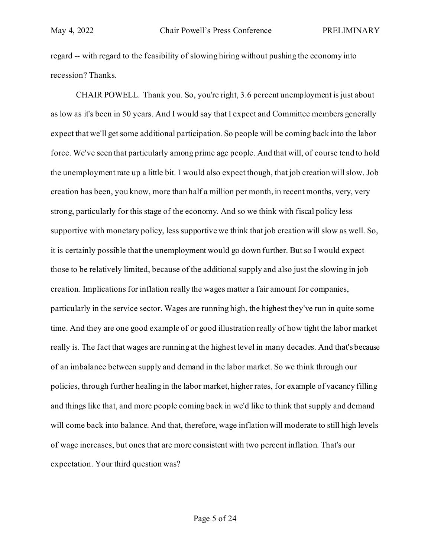regard -- with regard to the feasibility of slowing hiring without pushing the economy into recession? Thanks.

CHAIR POWELL. Thank you. So, you're right, 3.6 percent unemployment is just about as low as it's been in 50 years. And I would say that I expect and Committee members generally expect that we'll get some additional participation. So people will be coming back into the labor force. We've seen that particularly among prime age people. And that will, of course tend to hold the unemployment rate up a little bit. I would also expect though, that job creation will slow. Job creation has been, you know, more than half a million per month, in recent months, very, very strong, particularly for this stage of the economy. And so we think with fiscal policy less supportive with monetary policy, less supportive we think that job creation will slow as well. So, it is certainly possible that the unemployment would go down further. But so I would expect those to be relatively limited, because of the additional supply and also just the slowing in job creation. Implications for inflation really the wages matter a fair amount for companies, particularly in the service sector. Wages are running high, the highest they've run in quite some time. And they are one good example of or good illustration really of how tight the labor market really is. The fact that wages are running at the highest level in many decades. And that's because of an imbalance between supply and demand in the labor market. So we think through our policies, through further healing in the labor market, higher rates, for example of vacancy filling and things like that, and more people coming back in we'd like to think that supply and demand will come back into balance. And that, therefore, wage inflation will moderate to still high levels of wage increases, but ones that are more consistent with two percent inflation. That's our expectation. Your third question was?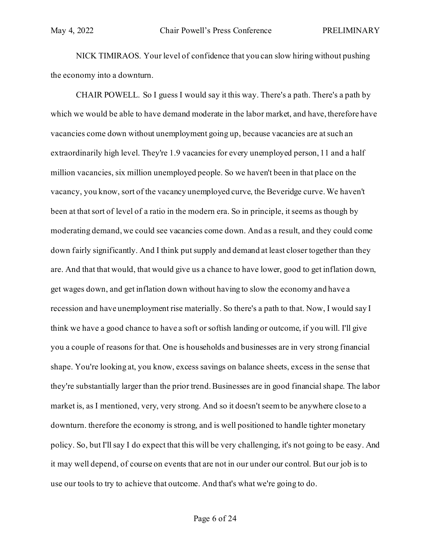NICK TIMIRAOS. Your level of confidence that you can slow hiring without pushing the economy into a downturn.

CHAIR POWELL. So I guess I would say it this way. There's a path. There's a path by which we would be able to have demand moderate in the labor market, and have, therefore have vacancies come down without unemployment going up, because vacancies are at such an extraordinarily high level. They're 1.9 vacancies for every unemployed person, 11 and a half million vacancies, six million unemployed people. So we haven't been in that place on the vacancy, you know, sort of the vacancy unemployed curve, the Beveridge curve. We haven't been at that sort of level of a ratio in the modern era. So in principle, it seems as though by moderating demand, we could see vacancies come down. And as a result, and they could come down fairly significantly. And I think put supply and demand at least closer together than they are. And that that would, that would give us a chance to have lower, good to get inflation down, get wages down, and get inflation down without having to slow the economy and have a recession and have unemployment rise materially. So there's a path to that. Now, I would say I think we have a good chance to have a soft or softish landing or outcome, if you will. I'll give you a couple of reasons for that. One is households and businesses are in very strong financial shape. You're looking at, you know, excess savings on balance sheets, excess in the sense that they're substantially larger than the prior trend. Businesses are in good financial shape. The labor market is, as I mentioned, very, very strong. And so it doesn't seem to be anywhere close to a downturn. therefore the economy is strong, and is well positioned to handle tighter monetary policy. So, but I'll say I do expect that this will be very challenging, it's not going to be easy. And it may well depend, of course on events that are not in our under our control. But our job is to use our tools to try to achieve that outcome. And that's what we're going to do.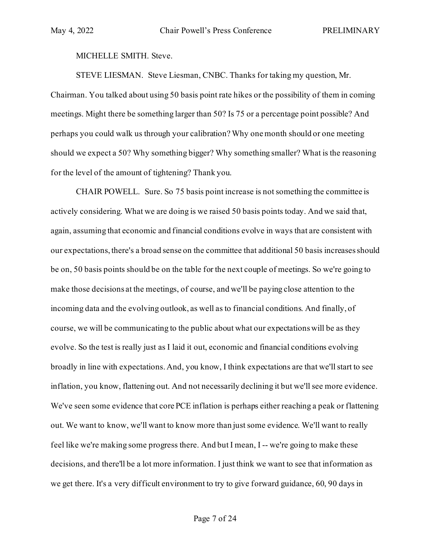MICHELLE SMITH. Steve.

STEVE LIESMAN. Steve Liesman, CNBC. Thanks for taking my question, Mr. Chairman. You talked about using 50 basis point rate hikes or the possibility of them in coming meetings. Might there be something larger than 50? Is 75 or a percentage point possible? And perhaps you could walk us through your calibration? Why one month should or one meeting should we expect a 50? Why something bigger? Why something smaller? What is the reasoning for the level of the amount of tightening? Thank you.

CHAIR POWELL. Sure. So 75 basis point increase is not something the committee is actively considering. What we are doing is we raised 50 basis points today. And we said that, again, assuming that economic and financial conditions evolve in ways that are consistent with our expectations, there's a broad sense on the committee that additional 50 basis increases should be on, 50 basis points should be on the table for the next couple of meetings. So we're going to make those decisions at the meetings, of course, and we'll be paying close attention to the incoming data and the evolving outlook, as well as to financial conditions. And finally, of course, we will be communicating to the public about what our expectations will be as they evolve. So the test is really just as I laid it out, economic and financial conditions evolving broadly in line with expectations. And, you know, I think expectations are that we'll start to see inflation, you know, flattening out. And not necessarily declining it but we'll see more evidence. We've seen some evidence that core PCE inflation is perhaps either reaching a peak or flattening out. We want to know, we'll want to know more than just some evidence. We'll want to really feel like we're making some progress there. And but I mean, I -- we're going to make these decisions, and there'll be a lot more information. I just think we want to see that information as we get there. It's a very difficult environment to try to give forward guidance, 60, 90 days in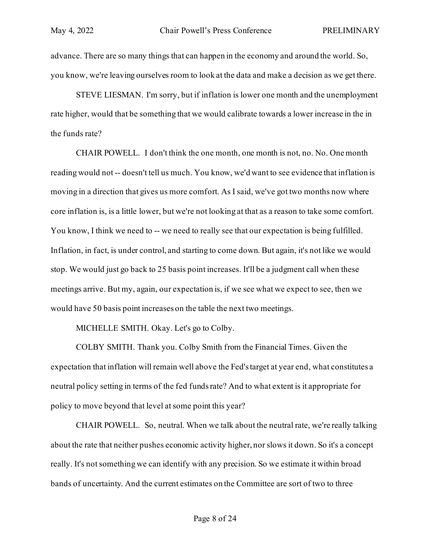advance. There are so many things that can happen in the economy and around the world. So, you know, we're leaving ourselves room to look at the data and make a decision as we get there.

STEVE LIESMAN. I'm sorry, but if inflation is lower one month and the unemployment rate higher, would that be something that we would calibrate towards a lower increase in the in the funds rate?

CHAIR POWELL. I don't think the one month, one month is not, no. No. One month reading would not -- doesn't tell us much. You know, we'd want to see evidence that inflation is moving in a direction that gives us more comfort. As I said, we've got two months now where core inflation is, is a little lower, but we're not looking at that as a reason to take some comfort. You know, I think we need to -- we need to really see that our expectation is being fulfilled. Inflation, in fact, is under control, and starting to come down. But again, it's not like we would stop. We would just go back to 25 basis point increases. It'll be a judgment call when these meetings arrive. But my, again, our expectation is, if we see what we expect to see, then we would have 50 basis point increases on the table the next two meetings.

MICHELLE SMITH. Okay. Let's go to Colby.

COLBY SMITH. Thank you. Colby Smith from the Financial Times. Given the expectation that inflation will remain well above the Fed's target at year end, what constitutes a neutral policy setting in terms of the fed funds rate? And to what extent is it appropriate for policy to move beyond that level at some point this year?

CHAIR POWELL. So, neutral. When we talk about the neutral rate, we're really talking about the rate that neither pushes economic activity higher, nor slows it down. So it's a concept really. It's not something we can identify with any precision. So we estimate it within broad bands of uncertainty. And the current estimates on the Committee are sort of two to three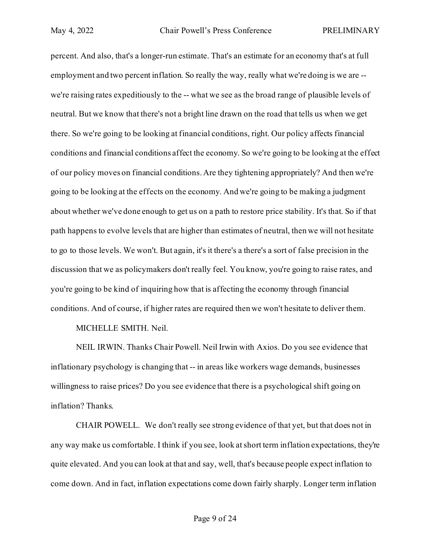percent. And also, that's a longer-run estimate. That's an estimate for an economy that's at full employment and two percent inflation. So really the way, really what we're doing is we are - we're raising rates expeditiously to the -- what we see as the broad range of plausible levels of neutral. But we know that there's not a bright line drawn on the road that tells us when we get there. So we're going to be looking at financial conditions, right. Our policy affects financial conditions and financial conditions affect the economy. So we're going to be looking at the effect of our policy moves on financial conditions. Are they tightening appropriately? And then we're going to be looking at the effects on the economy. And we're going to be making a judgment about whether we've done enough to get us on a path to restore price stability. It's that. So if that path happens to evolve levels that are higher than estimates of neutral, then we will not hesitate to go to those levels. We won't. But again, it's it there's a there's a sort of false precision in the discussion that we as policymakers don't really feel. You know, you're going to raise rates, and you're going to be kind of inquiring how that is affecting the economy through financial conditions. And of course, if higher rates are required then we won't hesitate to deliver them.

MICHELLE SMITH. Neil.

NEIL IRWIN. Thanks Chair Powell. Neil Irwin with Axios. Do you see evidence that inflationary psychology is changing that -- in areas like workers wage demands, businesses willingness to raise prices? Do you see evidence that there is a psychological shift going on inflation? Thanks.

CHAIR POWELL. We don't really see strong evidence of that yet, but that does not in any way make us comfortable. I think if you see, look at short term inflation expectations, they're quite elevated. And you can look at that and say, well, that's because people expect inflation to come down. And in fact, inflation expectations come down fairly sharply. Longer term inflation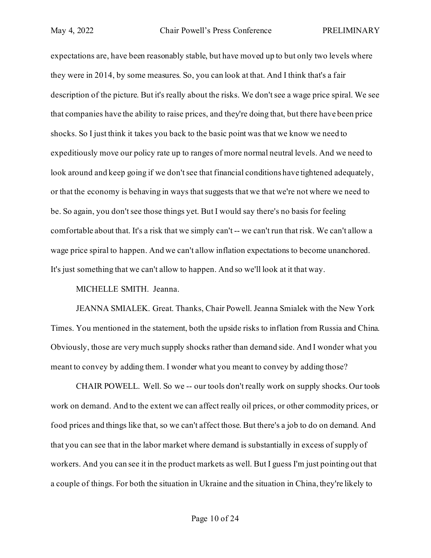expectations are, have been reasonably stable, but have moved up to but only two levels where they were in 2014, by some measures. So, you can look at that. And I think that's a fair description of the picture. But it's really about the risks. We don't see a wage price spiral. We see that companies have the ability to raise prices, and they're doing that, but there have been price shocks. So I just think it takes you back to the basic point was that we know we need to expeditiously move our policy rate up to ranges of more normal neutral levels. And we need to look around and keep going if we don't see that financial conditions have tightened adequately, or that the economy is behaving in ways that suggests that we that we're not where we need to be. So again, you don't see those things yet. But I would say there's no basis for feeling comfortable about that. It's a risk that we simply can't -- we can't run that risk. We can't allow a wage price spiral to happen. And we can't allow inflation expectations to become unanchored. It's just something that we can't allow to happen. And so we'll look at it that way.

MICHELLE SMITH. Jeanna.

JEANNA SMIALEK. Great. Thanks, Chair Powell. Jeanna Smialek with the New York Times. You mentioned in the statement, both the upside risks to inflation from Russia and China. Obviously, those are very much supply shocks rather than demand side. And I wonder what you meant to convey by adding them. I wonder what you meant to convey by adding those?

CHAIR POWELL. Well. So we -- our tools don't really work on supply shocks. Our tools work on demand. And to the extent we can affect really oil prices, or other commodity prices, or food prices and things like that, so we can't affect those. But there's a job to do on demand. And that you can see that in the labor market where demand is substantially in excess of supply of workers. And you can see it in the product markets as well. But I guess I'm just pointing out that a couple of things. For both the situation in Ukraine and the situation in China, they're likely to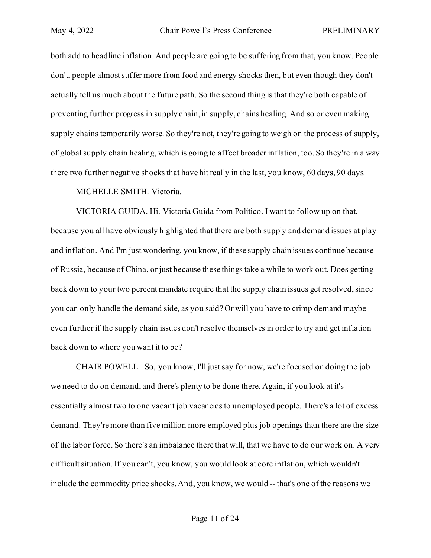both add to headline inflation. And people are going to be suffering from that, you know. People don't, people almost suffer more from food and energy shocks then, but even though they don't actually tell us much about the future path. So the second thing is that they're both capable of preventing further progress in supply chain, in supply, chains healing. And so or even making supply chains temporarily worse. So they're not, they're going to weigh on the process of supply, of global supply chain healing, which is going to affect broader inflation, too. So they're in a way there two further negative shocks that have hit really in the last, you know, 60 days, 90 days.

MICHELLE SMITH. Victoria.

VICTORIA GUIDA. Hi. Victoria Guida from Politico. I want to follow up on that, because you all have obviously highlighted that there are both supply and demand issues at play and inflation. And I'm just wondering, you know, if these supply chain issues continue because of Russia, because of China, or just because these things take a while to work out. Does getting back down to your two percent mandate require that the supply chain issues get resolved, since you can only handle the demand side, as you said? Or will you have to crimp demand maybe even further if the supply chain issues don't resolve themselves in order to try and get inflation back down to where you want it to be?

CHAIR POWELL. So, you know, I'll just say for now, we're focused on doing the job we need to do on demand, and there's plenty to be done there. Again, if you look at it's essentially almost two to one vacant job vacancies to unemployed people. There's a lot of excess demand. They're more than five million more employed plus job openings than there are the size of the labor force. So there's an imbalance there that will, that we have to do our work on. A very difficult situation. If you can't, you know, you would look at core inflation, which wouldn't include the commodity price shocks. And, you know, we would -- that's one of the reasons we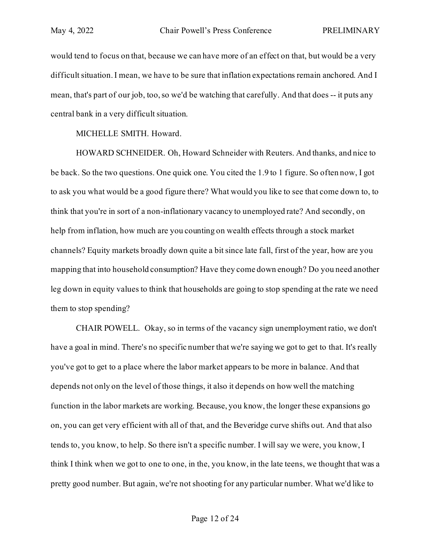would tend to focus on that, because we can have more of an effect on that, but would be a very difficult situation. I mean, we have to be sure that inflation expectations remain anchored. And I mean, that's part of our job, too, so we'd be watching that carefully. And that does -- it puts any central bank in a very difficult situation.

MICHELLE SMITH. Howard.

HOWARD SCHNEIDER. Oh, Howard Schneider with Reuters. And thanks, and nice to be back. So the two questions. One quick one. You cited the 1.9 to 1 figure. So often now, I got to ask you what would be a good figure there? What would you like to see that come down to, to think that you're in sort of a non-inflationary vacancy to unemployed rate? And secondly, on help from inflation, how much are you counting on wealth effects through a stock market channels? Equity markets broadly down quite a bit since late fall, first of the year, how are you mapping that into household consumption? Have they come down enough? Do you need another leg down in equity values to think that households are going to stop spending at the rate we need them to stop spending?

CHAIR POWELL. Okay, so in terms of the vacancy sign unemployment ratio, we don't have a goal in mind. There's no specific number that we're saying we got to get to that. It's really you've got to get to a place where the labor market appears to be more in balance. And that depends not only on the level of those things, it also it depends on how well the matching function in the labor markets are working. Because, you know, the longer these expansions go on, you can get very efficient with all of that, and the Beveridge curve shifts out. And that also tends to, you know, to help. So there isn't a specific number. I will say we were, you know, I think I think when we got to one to one, in the, you know, in the late teens, we thought that was a pretty good number. But again, we're not shooting for any particular number. What we'd like to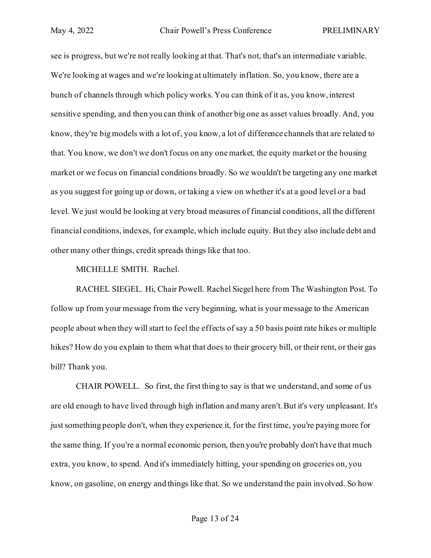see is progress, but we're not really looking at that. That's not, that's an intermediate variable. We're looking at wages and we're looking at ultimately inflation. So, you know, there are a bunch of channels through which policy works. You can think of it as, you know, interest sensitive spending, and then you can think of another big one as asset values broadly. And, you know, they're big models with a lot of, you know, a lot of difference channels that are related to that. You know, we don't we don't focus on any one market, the equity market or the housing market or we focus on financial conditions broadly. So we wouldn't be targeting any one market as you suggest for going up or down, or taking a view on whether it's at a good level or a bad level. We just would be looking at very broad measures of financial conditions, all the different financial conditions, indexes, for example, which include equity. But they also include debt and other many other things, credit spreads things like that too.

MICHELLE SMITH. Rachel.

RACHEL SIEGEL. Hi, Chair Powell. Rachel Siegel here from The Washington Post. To follow up from your message from the very beginning, what is your message to the American people about when they will start to feel the effects of say a 50 basis point rate hikes or multiple hikes? How do you explain to them what that does to their grocery bill, or their rent, or their gas bill? Thank you.

CHAIR POWELL. So first, the first thing to say is that we understand, and some of us are old enough to have lived through high inflation and many aren't. But it's very unpleasant. It's just something people don't, when they experience it, for the first time, you're paying more for the same thing. If you're a normal economic person, then you're probably don't have that much extra, you know, to spend. And it's immediately hitting, your spending on groceries on, you know, on gasoline, on energy and things like that. So we understand the pain involved. So how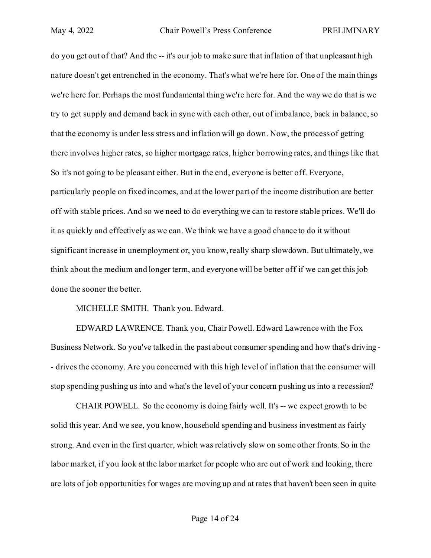do you get out of that? And the -- it's our job to make sure that inflation of that unpleasant high nature doesn't get entrenched in the economy. That's what we're here for. One of the main things we're here for. Perhaps the most fundamental thing we're here for. And the way we do that is we try to get supply and demand back in sync with each other, out of imbalance, back in balance, so that the economy is under less stress and inflation will go down. Now, the process of getting there involves higher rates, so higher mortgage rates, higher borrowing rates, and things like that. So it's not going to be pleasant either. But in the end, everyone is better off. Everyone, particularly people on fixed incomes, and at the lower part of the income distribution are better off with stable prices. And so we need to do everything we can to restore stable prices. We'll do it as quickly and effectively as we can. We think we have a good chance to do it without significant increase in unemployment or, you know, really sharp slowdown. But ultimately, we think about the medium and longer term, and everyone will be better off if we can get this job done the sooner the better.

MICHELLE SMITH. Thank you. Edward.

EDWARD LAWRENCE. Thank you, Chair Powell. Edward Lawrence with the Fox Business Network. So you've talked in the past about consumer spending and how that's driving - - drives the economy. Are you concerned with this high level of inflation that the consumer will stop spending pushing us into and what's the level of your concern pushing us into a recession?

CHAIR POWELL. So the economy is doing fairly well. It's -- we expect growth to be solid this year. And we see, you know, household spending and business investment as fairly strong. And even in the first quarter, which was relatively slow on some other fronts. So in the labor market, if you look at the labor market for people who are out of work and looking, there are lots of job opportunities for wages are moving up and at rates that haven't been seen in quite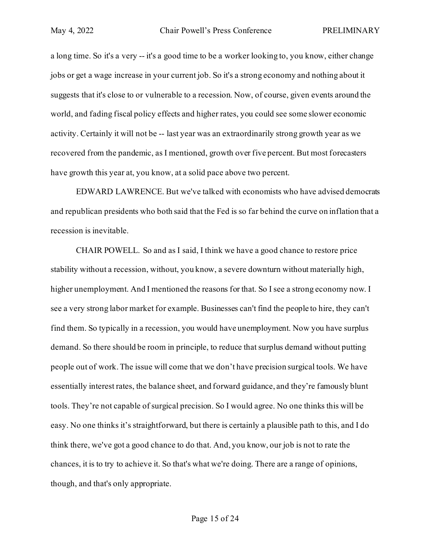a long time. So it's a very -- it's a good time to be a worker looking to, you know, either change jobs or get a wage increase in your current job. So it's a strong economy and nothing about it suggests that it's close to or vulnerable to a recession. Now, of course, given events around the world, and fading fiscal policy effects and higher rates, you could see some slower economic activity. Certainly it will not be -- last year was an extraordinarily strong growth year as we recovered from the pandemic, as I mentioned, growth over five percent. But most forecasters have growth this year at, you know, at a solid pace above two percent.

EDWARD LAWRENCE. But we've talked with economists who have advised democrats and republican presidents who both said that the Fed is so far behind the curve on inflation that a recession is inevitable.

CHAIR POWELL. So and as I said, I think we have a good chance to restore price stability without a recession, without, you know, a severe downturn without materially high, higher unemployment. And I mentioned the reasons for that. So I see a strong economy now. I see a very strong labor market for example. Businesses can't find the people to hire, they can't find them. So typically in a recession, you would have unemployment. Now you have surplus demand. So there should be room in principle, to reduce that surplus demand without putting people out of work.The issue will come that we don't have precision surgical tools. We have essentially interest rates, the balance sheet, and forward guidance, and they're famously blunt tools. They're not capable of surgical precision. So I would agree. No one thinks this will be easy. No one thinks it's straightforward, but there is certainly a plausible path to this, and I do think there, we've got a good chance to do that. And, you know, our job is not to rate the chances, it is to try to achieve it. So that's what we're doing. There are a range of opinions, though, and that's only appropriate.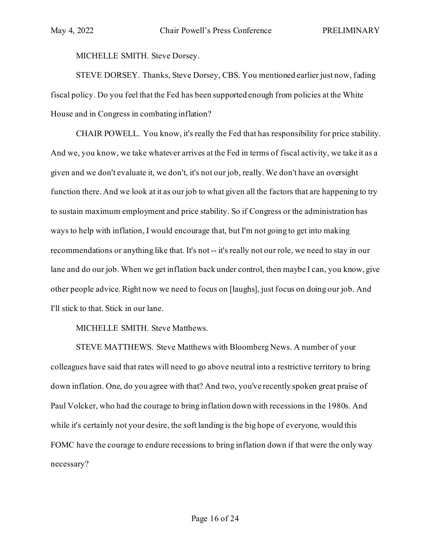MICHELLE SMITH. Steve Dorsey.

STEVE DORSEY. Thanks, Steve Dorsey, CBS. You mentioned earlier just now, fading fiscal policy. Do you feel that the Fed has been supported enough from policies at the White House and in Congress in combating inflation?

CHAIR POWELL. You know, it's really the Fed that has responsibility for price stability. And we, you know, we take whatever arrives at the Fed in terms of fiscal activity, we take it as a given and we don't evaluate it, we don't, it's not our job, really. We don't have an oversight function there. And we look at it as our job to what given all the factors that are happening to try to sustain maximum employment and price stability. So if Congress or the administration has ways to help with inflation, I would encourage that, but I'm not going to get into making recommendations or anything like that. It's not -- it's really not our role, we need to stay in our lane and do our job. When we get inflation back under control, then maybe I can, you know, give other people advice. Right now we need to focus on [laughs], just focus on doing our job. And I'll stick to that. Stick in our lane.

MICHELLE SMITH. Steve Matthews.

STEVE MATTHEWS. Steve Matthews with Bloomberg News. A number of your colleagues have said that rates will need to go above neutral into a restrictive territory to bring down inflation. One, do you agree with that? And two, you've recently spoken great praise of Paul Volcker, who had the courage to bring inflation down with recessions in the 1980s. And while it's certainly not your desire, the soft landing is the big hope of everyone, would this FOMC have the courage to endure recessions to bring inflation down if that were the only way necessary?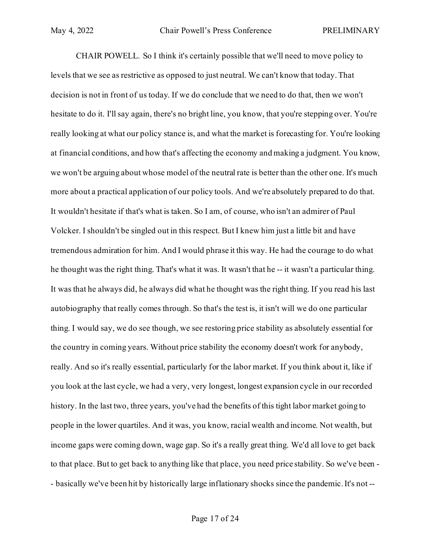CHAIR POWELL. So I think it's certainly possible that we'll need to move policy to levels that we see as restrictive as opposed to just neutral. We can't know that today. That decision is not in front of us today. If we do conclude that we need to do that, then we won't hesitate to do it. I'll say again, there's no bright line, you know, that you're stepping over. You're really looking at what our policy stance is, and what the market is forecasting for. You're looking at financial conditions, and how that's affecting the economy and making a judgment. You know, we won't be arguing about whose model of the neutral rate is better than the other one. It's much more about a practical application of our policy tools. And we're absolutely prepared to do that. It wouldn't hesitate if that's what is taken. So I am, of course, who isn't an admirer of Paul Volcker. I shouldn't be singled out in this respect. But I knew him just a little bit and have tremendous admiration for him. And I would phrase it this way. He had the courage to do what he thought was the right thing. That's what it was. It wasn't that he -- it wasn't a particular thing. It was that he always did, he always did what he thought was the right thing. If you read his last autobiography that really comes through. So that's the test is, it isn't will we do one particular thing. I would say, we do see though, we see restoring price stability as absolutely essential for the country in coming years. Without price stability the economy doesn't work for anybody, really. And so it's really essential, particularly for the labor market. If you think about it, like if you look at the last cycle, we had a very, very longest, longest expansion cycle in our recorded history. In the last two, three years, you've had the benefits of this tight labor market going to people in the lower quartiles. And it was, you know, racial wealth and income. Not wealth, but income gaps were coming down, wage gap. So it's a really great thing. We'd all love to get back to that place. But to get back to anything like that place, you need price stability. So we've been - - basically we've been hit by historically large inflationary shocks since the pandemic. It's not --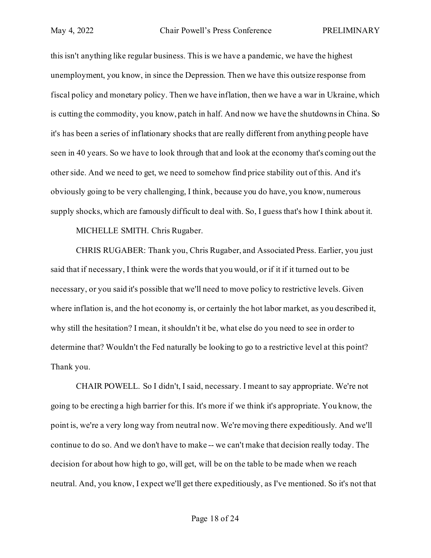this isn't anything like regular business. This is we have a pandemic, we have the highest unemployment, you know, in since the Depression. Then we have this outsize response from fiscal policy and monetary policy. Then we have inflation, then we have a war in Ukraine, which is cutting the commodity, you know, patch in half. And now we have the shutdowns in China. So it's has been a series of inflationary shocks that are really different from anything people have seen in 40 years. So we have to look through that and look at the economy that's coming out the other side. And we need to get, we need to somehow find price stability out of this. And it's obviously going to be very challenging, I think, because you do have, you know, numerous supply shocks, which are famously difficult to deal with. So, I guess that's how I think about it.

MICHELLE SMITH. Chris Rugaber.

CHRIS RUGABER: Thank you, Chris Rugaber, and Associated Press. Earlier, you just said that if necessary, I think were the words that you would, or if it if it turned out to be necessary, or you said it's possible that we'll need to move policy to restrictive levels. Given where inflation is, and the hot economy is, or certainly the hot labor market, as you described it, why still the hesitation? I mean, it shouldn't it be, what else do you need to see in order to determine that? Wouldn't the Fed naturally be looking to go to a restrictive level at this point? Thank you.

CHAIR POWELL. So I didn't, I said, necessary. I meant to say appropriate. We're not going to be erecting a high barrier for this. It's more if we think it's appropriate. You know, the point is, we're a very long way from neutral now. We're moving there expeditiously. And we'll continue to do so. And we don't have to make -- we can't make that decision really today. The decision for about how high to go, will get, will be on the table to be made when we reach neutral. And, you know, I expect we'll get there expeditiously, as I've mentioned. So it's not that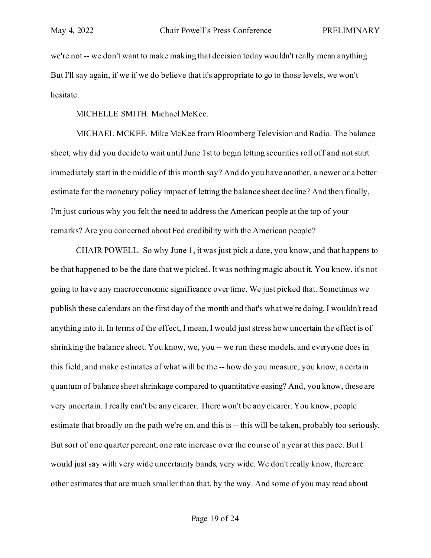we're not -- we don't want to make making that decision today wouldn't really mean anything. But I'll say again, if we if we do believe that it's appropriate to go to those levels, we won't hesitate.

MICHELLE SMITH. Michael McKee.

MICHAEL MCKEE. Mike McKee from Bloomberg Television and Radio. The balance sheet, why did you decide to wait until June 1st to begin letting securities roll off and not start immediately start in the middle of this month say? And do you have another, a newer or a better estimate for the monetary policy impact of letting the balance sheet decline? And then finally, I'm just curious why you felt the need to address the American people at the top of your remarks? Are you concerned about Fed credibility with the American people?

CHAIR POWELL. So why June 1, it was just pick a date, you know, and that happens to be that happened to be the date that we picked. It was nothing magic about it. You know, it's not going to have any macroeconomic significance over time. We just picked that. Sometimes we publish these calendars on the first day of the month and that's what we're doing. I wouldn't read anything into it. In terms of the effect, I mean, I would just stress how uncertain the effect is of shrinking the balance sheet. You know, we, you -- we run these models, and everyone does in this field, and make estimates of what will be the -- how do you measure, you know, a certain quantum of balance sheet shrinkage compared to quantitative easing? And, you know, these are very uncertain. I really can't be any clearer. There won't be any clearer. You know, people estimate that broadly on the path we're on, and this is -- this will be taken, probably too seriously. But sort of one quarter percent, one rate increase over the course of a year at this pace. But I would just say with very wide uncertainty bands, very wide. We don't really know, there are other estimates that are much smaller than that, by the way. And some of you may read about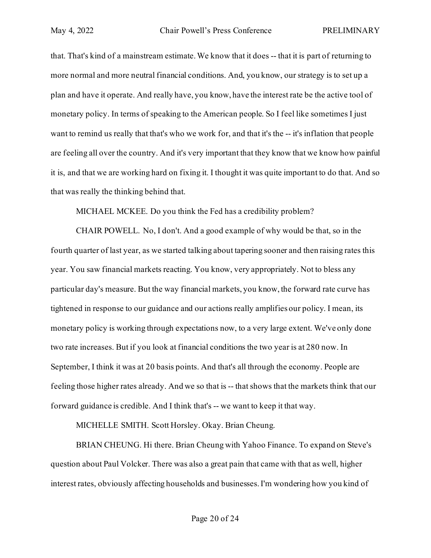that. That's kind of a mainstream estimate. We know that it does -- that it is part of returning to more normal and more neutral financial conditions. And, you know, our strategy is to set up a plan and have it operate. And really have, you know, have the interest rate be the active tool of monetary policy. In terms of speaking to the American people. So I feel like sometimes I just want to remind us really that that's who we work for, and that it's the -- it's inflation that people are feeling all over the country. And it's very important that they know that we know how painful it is, and that we are working hard on fixing it. I thought it was quite important to do that. And so that was really the thinking behind that.

MICHAEL MCKEE. Do you think the Fed has a credibility problem?

CHAIR POWELL. No, I don't. And a good example of why would be that, so in the fourth quarter of last year, as we started talking about tapering sooner and then raising rates this year. You saw financial markets reacting. You know, very appropriately. Not to bless any particular day's measure. But the way financial markets, you know, the forward rate curve has tightened in response to our guidance and our actions really amplifies our policy. I mean, its monetary policy is working through expectations now, to a very large extent. We've only done two rate increases. But if you look at financial conditions the two year is at 280 now. In September, I think it was at 20 basis points. And that's all through the economy. People are feeling those higher rates already. And we so that is -- that shows that the markets think that our forward guidance is credible. And I think that's -- we want to keep it that way.

MICHELLE SMITH. Scott Horsley. Okay. Brian Cheung.

BRIAN CHEUNG. Hi there. Brian Cheung with Yahoo Finance. To expand on Steve's question about Paul Volcker. There was also a great pain that came with that as well, higher interest rates, obviously affecting households and businesses. I'm wondering how you kind of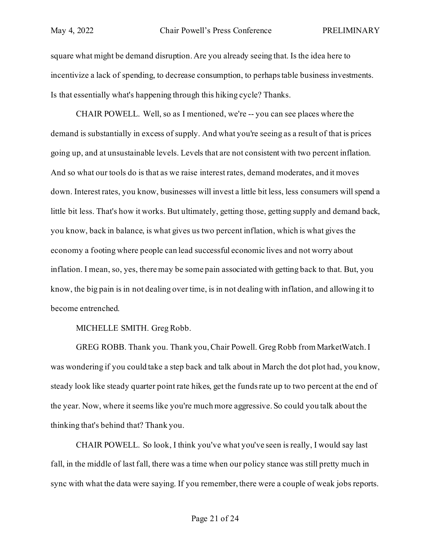square what might be demand disruption. Are you already seeing that. Is the idea here to incentivize a lack of spending, to decrease consumption, to perhaps table business investments. Is that essentially what's happening through this hiking cycle? Thanks.

CHAIR POWELL. Well, so as I mentioned, we're -- you can see places where the demand is substantially in excess of supply. And what you're seeing as a result of that is prices going up, and at unsustainable levels. Levels that are not consistent with two percent inflation. And so what our tools do is that as we raise interest rates, demand moderates, and it moves down. Interest rates, you know, businesses will invest a little bit less, less consumers will spend a little bit less. That's how it works. But ultimately, getting those, getting supply and demand back, you know, back in balance, is what gives us two percent inflation, which is what gives the economy a footing where people can lead successful economic lives and not worry about inflation. I mean, so, yes, there may be some pain associated with getting back to that. But, you know, the big pain is in not dealing over time, is in not dealing with inflation, and allowing it to become entrenched.

MICHELLE SMITH. Greg Robb.

GREG ROBB. Thank you. Thank you, Chair Powell. Greg Robb from MarketWatch. I was wondering if you could take a step back and talk about in March the dot plot had, you know, steady look like steady quarter point rate hikes, get the funds rate up to two percent at the end of the year. Now, where it seems like you're much more aggressive. So could you talk about the thinking that's behind that? Thank you.

CHAIR POWELL. So look, I think you've what you've seen is really, I would say last fall, in the middle of last fall, there was a time when our policy stance was still pretty much in sync with what the data were saying. If you remember, there were a couple of weak jobs reports.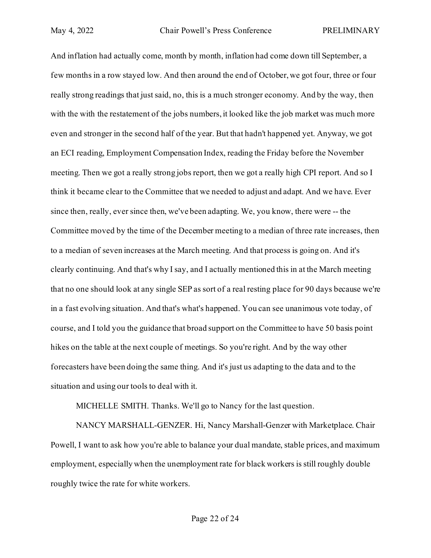And inflation had actually come, month by month, inflation had come down till September, a few months in a row stayed low. And then around the end of October, we got four, three or four really strong readings that just said, no, this is a much stronger economy. And by the way, then with the with the restatement of the jobs numbers, it looked like the job market was much more even and stronger in the second half of the year. But that hadn't happened yet. Anyway, we got an ECI reading, Employment Compensation Index, reading the Friday before the November meeting. Then we got a really strong jobs report, then we got a really high CPI report. And so I think it became clear to the Committee that we needed to adjust and adapt. And we have. Ever since then, really, ever since then, we've been adapting. We, you know, there were -- the Committee moved by the time of the December meeting to a median of three rate increases, then to a median of seven increases at the March meeting. And that process is going on. And it's clearly continuing. And that's why I say, and I actually mentioned this in at the March meeting that no one should look at any single SEP as sort of a real resting place for 90 days because we're in a fast evolving situation. And that's what's happened. You can see unanimous vote today, of course, and I told you the guidance that broad support on the Committee to have 50 basis point hikes on the table at the next couple of meetings. So you're right. And by the way other forecasters have been doing the same thing. And it's just us adapting to the data and to the situation and using our tools to deal with it.

MICHELLE SMITH. Thanks. We'll go to Nancy for the last question.

NANCY MARSHALL-GENZER. Hi, Nancy Marshall-Genzer with Marketplace. Chair Powell, I want to ask how you're able to balance your dual mandate, stable prices, and maximum employment, especially when the unemployment rate for black workers is still roughly double roughly twice the rate for white workers.